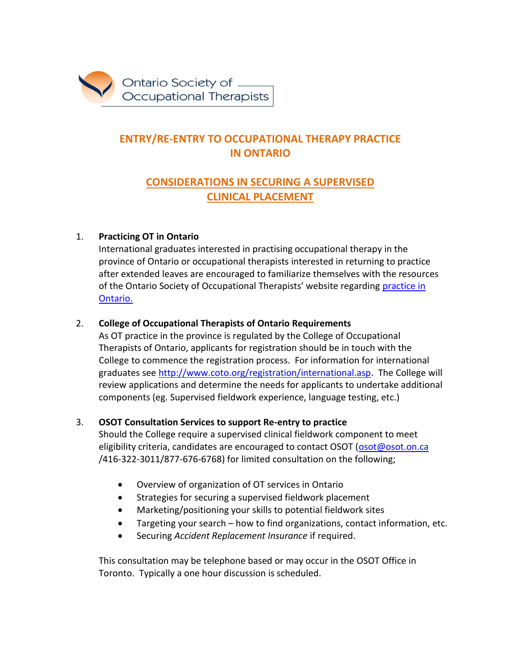

# **ENTRY/RE-ENTRY TO OCCUPATIONAL THERAPY PRACTICE IN ONTARIO**

## **CONSIDERATIONS IN SECURING A SUPERVISED CLINICAL PLACEMENT**

## 1. **Practicing OT in Ontario**

International graduates interested in practising occupational therapy in the province of Ontario or occupational therapists interested in returning to practice after extended leaves are encouraged to familiarize themselves with the resources of the Ontario Society of Occupational Therapists' website regarding [practice in](http://www.osot.on.ca/imis15/OSOT/Practice_Resources/Practising_in_Ontario/OSOT/Practice_Resources_Pages/Practising_in_Ontario.aspx?hkey=792899fc-cbd0-4143-8741-982d147261b8)  [Ontario.](http://www.osot.on.ca/imis15/OSOT/Practice_Resources/Practising_in_Ontario/OSOT/Practice_Resources_Pages/Practising_in_Ontario.aspx?hkey=792899fc-cbd0-4143-8741-982d147261b8) 

## 2. **College of Occupational Therapists of Ontario Requirements**

As OT practice in the province is regulated by the College of Occupational Therapists of Ontario, applicants for registration should be in touch with the College to commence the registration process. For information for international graduates see [http://www.coto.org/registration/international.asp.](http://www.coto.org/registration/international.asp) The College will review applications and determine the needs for applicants to undertake additional components (eg. Supervised fieldwork experience, language testing, etc.)

## 3. **OSOT Consultation Services to support Re-entry to practice**

Should the College require a supervised clinical fieldwork component to meet eligibility criteria, candidates are encouraged to contact OSOT [\(osot@osot.on.ca](mailto:osot@osot.on.ca) /416-322-3011/877-676-6768) for limited consultation on the following;

- Overview of organization of OT services in Ontario
- Strategies for securing a supervised fieldwork placement
- Marketing/positioning your skills to potential fieldwork sites
- Targeting your search how to find organizations, contact information, etc.
- Securing *Accident Replacement Insurance* if required.

This consultation may be telephone based or may occur in the OSOT Office in Toronto. Typically a one hour discussion is scheduled.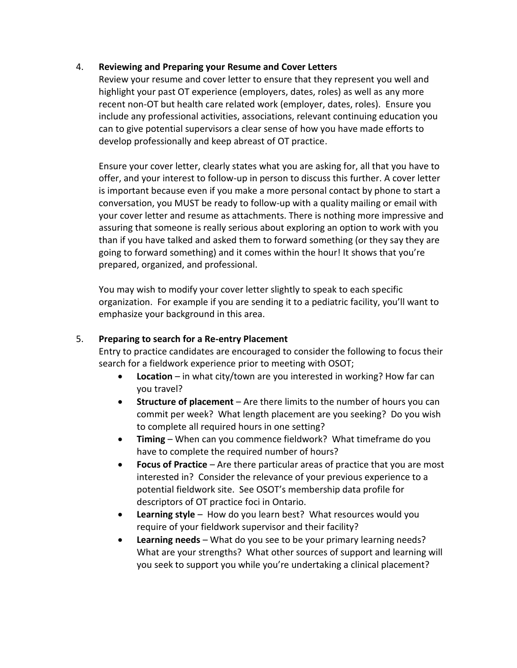#### 4. **Reviewing and Preparing your Resume and Cover Letters**

Review your resume and cover letter to ensure that they represent you well and highlight your past OT experience (employers, dates, roles) as well as any more recent non-OT but health care related work (employer, dates, roles). Ensure you include any professional activities, associations, relevant continuing education you can to give potential supervisors a clear sense of how you have made efforts to develop professionally and keep abreast of OT practice.

Ensure your cover letter, clearly states what you are asking for, all that you have to offer, and your interest to follow-up in person to discuss this further. A cover letter is important because even if you make a more personal contact by phone to start a conversation, you MUST be ready to follow-up with a quality mailing or email with your cover letter and resume as attachments. There is nothing more impressive and assuring that someone is really serious about exploring an option to work with you than if you have talked and asked them to forward something (or they say they are going to forward something) and it comes within the hour! It shows that you're prepared, organized, and professional.

You may wish to modify your cover letter slightly to speak to each specific organization. For example if you are sending it to a pediatric facility, you'll want to emphasize your background in this area.

#### 5. **Preparing to search for a Re-entry Placement**

Entry to practice candidates are encouraged to consider the following to focus their search for a fieldwork experience prior to meeting with OSOT;

- **Location**  in what city/town are you interested in working? How far can you travel?
- **Structure of placement** Are there limits to the number of hours you can commit per week? What length placement are you seeking? Do you wish to complete all required hours in one setting?
- **Timing** When can you commence fieldwork? What timeframe do you have to complete the required number of hours?
- **Focus of Practice** Are there particular areas of practice that you are most interested in? Consider the relevance of your previous experience to a potential fieldwork site. See OSOT's membership data profile for descriptors of OT practice foci in Ontario.
- **Learning style** How do you learn best? What resources would you require of your fieldwork supervisor and their facility?
- **Learning needs** What do you see to be your primary learning needs? What are your strengths? What other sources of support and learning will you seek to support you while you're undertaking a clinical placement?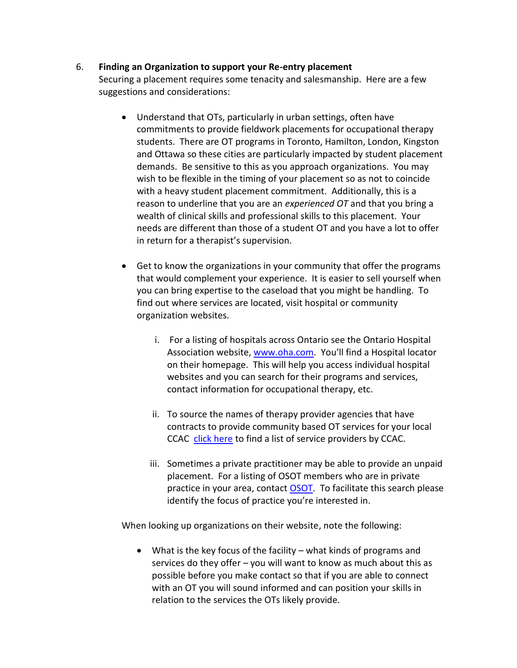#### 6. **Finding an Organization to support your Re-entry placement**

Securing a placement requires some tenacity and salesmanship. Here are a few suggestions and considerations:

- Understand that OTs, particularly in urban settings, often have commitments to provide fieldwork placements for occupational therapy students. There are OT programs in Toronto, Hamilton, London, Kingston and Ottawa so these cities are particularly impacted by student placement demands. Be sensitive to this as you approach organizations. You may wish to be flexible in the timing of your placement so as not to coincide with a heavy student placement commitment. Additionally, this is a reason to underline that you are an *experienced OT* and that you bring a wealth of clinical skills and professional skills to this placement. Your needs are different than those of a student OT and you have a lot to offer in return for a therapist's supervision.
- Get to know the organizations in your community that offer the programs that would complement your experience. It is easier to sell yourself when you can bring expertise to the caseload that you might be handling. To find out where services are located, visit hospital or community organization websites.
	- i. For a listing of hospitals across Ontario see the Ontario Hospital Association website, [www.oha.com](http://www.oha.com/). You'll find a Hospital locator on their homepage. This will help you access individual hospital websites and you can search for their programs and services, contact information for occupational therapy, etc.
	- ii. To source the names of therapy provider agencies that have contracts to provide community based OT services for your local CCAC [click here](http://healthcareathome.ca/serviceproviders/en/Service-Provider-Listing) to find a list of service providers by CCAC.
	- iii. Sometimes a private practitioner may be able to provide an unpaid placement. For a listing of OSOT members who are in private practice in your area, contact **OSOT**. To facilitate this search please identify the focus of practice you're interested in.

When looking up organizations on their website, note the following:

 What is the key focus of the facility – what kinds of programs and services do they offer – you will want to know as much about this as possible before you make contact so that if you are able to connect with an OT you will sound informed and can position your skills in relation to the services the OTs likely provide.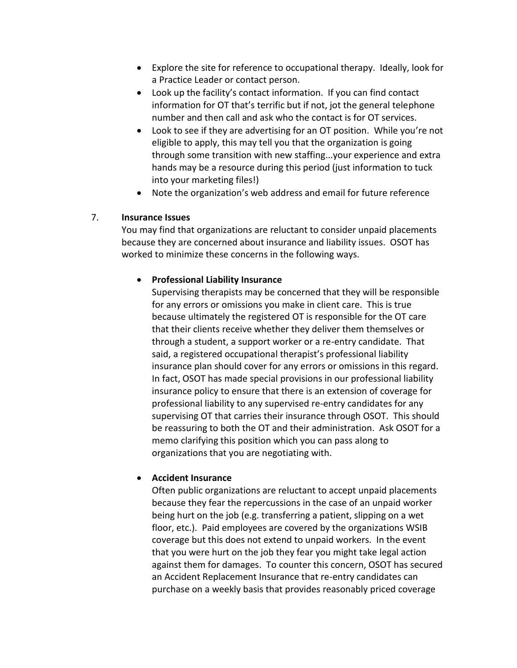- Explore the site for reference to occupational therapy. Ideally, look for a Practice Leader or contact person.
- Look up the facility's contact information. If you can find contact information for OT that's terrific but if not, jot the general telephone number and then call and ask who the contact is for OT services.
- Look to see if they are advertising for an OT position. While you're not eligible to apply, this may tell you that the organization is going through some transition with new staffing...your experience and extra hands may be a resource during this period (just information to tuck into your marketing files!)
- Note the organization's web address and email for future reference

#### 7. **Insurance Issues**

You may find that organizations are reluctant to consider unpaid placements because they are concerned about insurance and liability issues. OSOT has worked to minimize these concerns in the following ways.

## **Professional Liability Insurance**

Supervising therapists may be concerned that they will be responsible for any errors or omissions you make in client care. This is true because ultimately the registered OT is responsible for the OT care that their clients receive whether they deliver them themselves or through a student, a support worker or a re-entry candidate. That said, a registered occupational therapist's professional liability insurance plan should cover for any errors or omissions in this regard. In fact, OSOT has made special provisions in our professional liability insurance policy to ensure that there is an extension of coverage for professional liability to any supervised re-entry candidates for any supervising OT that carries their insurance through OSOT. This should be reassuring to both the OT and their administration. Ask OSOT for a memo clarifying this position which you can pass along to organizations that you are negotiating with.

## **Accident Insurance**

Often public organizations are reluctant to accept unpaid placements because they fear the repercussions in the case of an unpaid worker being hurt on the job (e.g. transferring a patient, slipping on a wet floor, etc.). Paid employees are covered by the organizations WSIB coverage but this does not extend to unpaid workers. In the event that you were hurt on the job they fear you might take legal action against them for damages. To counter this concern, OSOT has secured an Accident Replacement Insurance that re-entry candidates can purchase on a weekly basis that provides reasonably priced coverage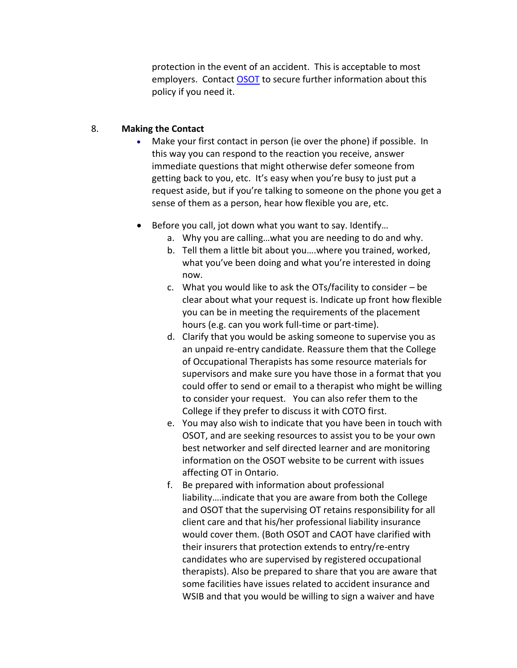protection in the event of an accident. This is acceptable to most employers. Contact [OSOT](mailto:osot@osot.on.ca) to secure further information about this policy if you need it.

#### 8. **Making the Contact**

- Make your first contact in person (ie over the phone) if possible. In this way you can respond to the reaction you receive, answer immediate questions that might otherwise defer someone from getting back to you, etc. It's easy when you're busy to just put a request aside, but if you're talking to someone on the phone you get a sense of them as a person, hear how flexible you are, etc.
- Before you call, jot down what you want to say. Identify...
	- a. Why you are calling…what you are needing to do and why.
	- b. Tell them a little bit about you….where you trained, worked, what you've been doing and what you're interested in doing now.
	- c. What you would like to ask the OTs/facility to consider be clear about what your request is. Indicate up front how flexible you can be in meeting the requirements of the placement hours (e.g. can you work full-time or part-time).
	- d. Clarify that you would be asking someone to supervise you as an unpaid re-entry candidate. Reassure them that the College of Occupational Therapists has some resource materials for supervisors and make sure you have those in a format that you could offer to send or email to a therapist who might be willing to consider your request. You can also refer them to the College if they prefer to discuss it with COTO first.
	- e. You may also wish to indicate that you have been in touch with OSOT, and are seeking resources to assist you to be your own best networker and self directed learner and are monitoring information on the OSOT website to be current with issues affecting OT in Ontario.
	- f. Be prepared with information about professional liability….indicate that you are aware from both the College and OSOT that the supervising OT retains responsibility for all client care and that his/her professional liability insurance would cover them. (Both OSOT and CAOT have clarified with their insurers that protection extends to entry/re-entry candidates who are supervised by registered occupational therapists). Also be prepared to share that you are aware that some facilities have issues related to accident insurance and WSIB and that you would be willing to sign a waiver and have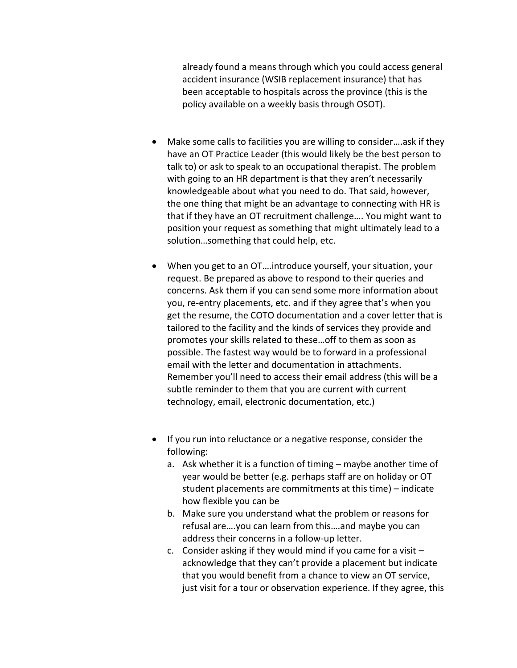already found a means through which you could access general accident insurance (WSIB replacement insurance) that has been acceptable to hospitals across the province (this is the policy available on a weekly basis through OSOT).

- Make some calls to facilities you are willing to consider....ask if they have an OT Practice Leader (this would likely be the best person to talk to) or ask to speak to an occupational therapist. The problem with going to an HR department is that they aren't necessarily knowledgeable about what you need to do. That said, however, the one thing that might be an advantage to connecting with HR is that if they have an OT recruitment challenge…. You might want to position your request as something that might ultimately lead to a solution…something that could help, etc.
- When you get to an OT….introduce yourself, your situation, your request. Be prepared as above to respond to their queries and concerns. Ask them if you can send some more information about you, re-entry placements, etc. and if they agree that's when you get the resume, the COTO documentation and a cover letter that is tailored to the facility and the kinds of services they provide and promotes your skills related to these…off to them as soon as possible. The fastest way would be to forward in a professional email with the letter and documentation in attachments. Remember you'll need to access their email address (this will be a subtle reminder to them that you are current with current technology, email, electronic documentation, etc.)
- If you run into reluctance or a negative response, consider the following:
	- a. Ask whether it is a function of timing maybe another time of year would be better (e.g. perhaps staff are on holiday or OT student placements are commitments at this time) – indicate how flexible you can be
	- b. Make sure you understand what the problem or reasons for refusal are….you can learn from this….and maybe you can address their concerns in a follow-up letter.
	- c. Consider asking if they would mind if you came for a visit acknowledge that they can't provide a placement but indicate that you would benefit from a chance to view an OT service, just visit for a tour or observation experience. If they agree, this